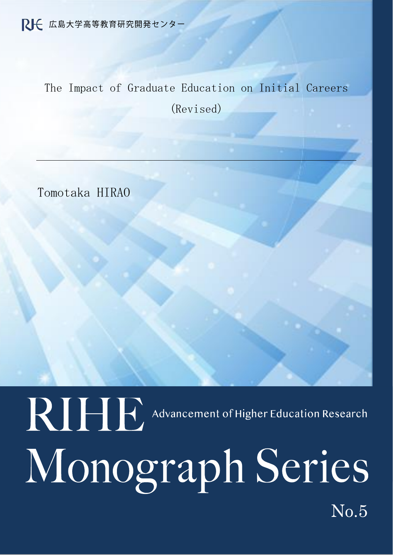The Impact of Graduate Education on Initial Careers (Revised)

Tomotaka HIRAO

 $\mathbf{r}$ 

Ï

No.5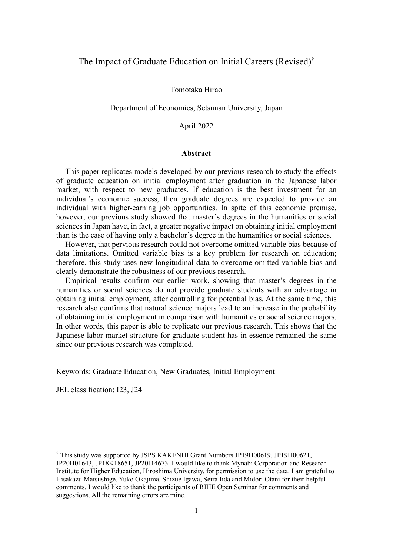## The Impact of Graduate Education on Initial Careers (Revised)†

Tomotaka Hirao

Department of Economics, Setsunan University, Japan

April 2022

#### **Abstract**

This paper replicates models developed by our previous research to study the effects of graduate education on initial employment after graduation in the Japanese labor market, with respect to new graduates. If education is the best investment for an individual's economic success, then graduate degrees are expected to provide an individual with higher-earning job opportunities. In spite of this economic premise, however, our previous study showed that master's degrees in the humanities or social sciences in Japan have, in fact, a greater negative impact on obtaining initial employment than is the case of having only a bachelor's degree in the humanities or social sciences.

However, that pervious research could not overcome omitted variable bias because of data limitations. Omitted variable bias is a key problem for research on education; therefore, this study uses new longitudinal data to overcome omitted variable bias and clearly demonstrate the robustness of our previous research.

Empirical results confirm our earlier work, showing that master's degrees in the humanities or social sciences do not provide graduate students with an advantage in obtaining initial employment, after controlling for potential bias. At the same time, this research also confirms that natural science majors lead to an increase in the probability of obtaining initial employment in comparison with humanities or social science majors. In other words, this paper is able to replicate our previous research. This shows that the Japanese labor market structure for graduate student has in essence remained the same since our previous research was completed.

Keywords: Graduate Education, New Graduates, Initial Employment

JEL classification: I23, J24

<sup>†</sup> This study was supported by JSPS KAKENHI Grant Numbers JP19H00619, JP19H00621, JP20H01643, JP18K18651, JP20J14673. I would like to thank Mynabi Corporation and Research Institute for Higher Education, Hiroshima University, for permission to use the data. I am grateful to Hisakazu Matsushige, Yuko Okajima, Shizue Igawa, Seira Iida and Midori Otani for their helpful comments. I would like to thank the participants of RIHE Open Seminar for comments and suggestions. All the remaining errors are mine.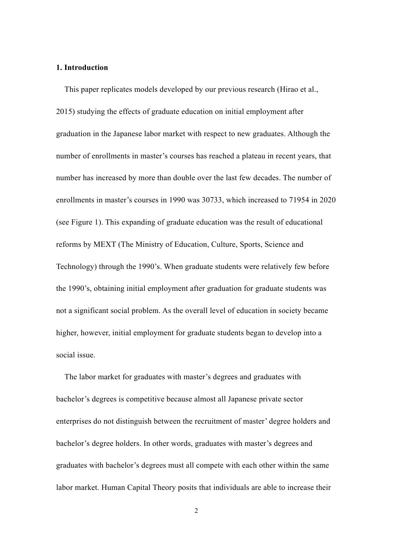### **1. Introduction**

This paper replicates models developed by our previous research (Hirao et al., 2015) studying the effects of graduate education on initial employment after graduation in the Japanese labor market with respect to new graduates. Although the number of enrollments in master's courses has reached a plateau in recent years, that number has increased by more than double over the last few decades. The number of enrollments in master's courses in 1990 was 30733, which increased to 71954 in 2020 (see Figure 1). This expanding of graduate education was the result of educational reforms by MEXT (The Ministry of Education, Culture, Sports, Science and Technology) through the 1990's. When graduate students were relatively few before the 1990's, obtaining initial employment after graduation for graduate students was not a significant social problem. As the overall level of education in society became higher, however, initial employment for graduate students began to develop into a social issue.

The labor market for graduates with master's degrees and graduates with bachelor's degrees is competitive because almost all Japanese private sector enterprises do not distinguish between the recruitment of master' degree holders and bachelor's degree holders. In other words, graduates with master's degrees and graduates with bachelor's degrees must all compete with each other within the same labor market. Human Capital Theory posits that individuals are able to increase their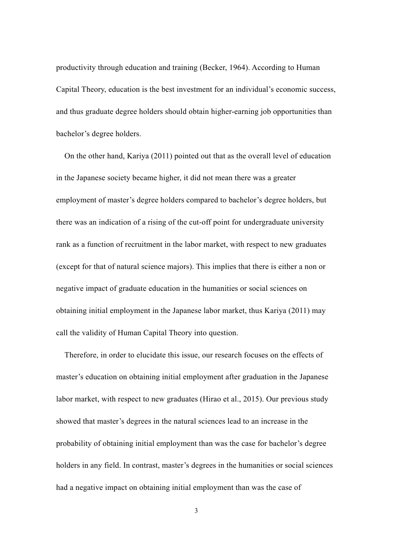productivity through education and training (Becker, 1964). According to Human Capital Theory, education is the best investment for an individual's economic success, and thus graduate degree holders should obtain higher-earning job opportunities than bachelor's degree holders.

On the other hand, Kariya (2011) pointed out that as the overall level of education in the Japanese society became higher, it did not mean there was a greater employment of master's degree holders compared to bachelor's degree holders, but there was an indication of a rising of the cut-off point for undergraduate university rank as a function of recruitment in the labor market, with respect to new graduates (except for that of natural science majors). This implies that there is either a non or negative impact of graduate education in the humanities or social sciences on obtaining initial employment in the Japanese labor market, thus Kariya (2011) may call the validity of Human Capital Theory into question.

Therefore, in order to elucidate this issue, our research focuses on the effects of master's education on obtaining initial employment after graduation in the Japanese labor market, with respect to new graduates (Hirao et al., 2015). Our previous study showed that master's degrees in the natural sciences lead to an increase in the probability of obtaining initial employment than was the case for bachelor's degree holders in any field. In contrast, master's degrees in the humanities or social sciences had a negative impact on obtaining initial employment than was the case of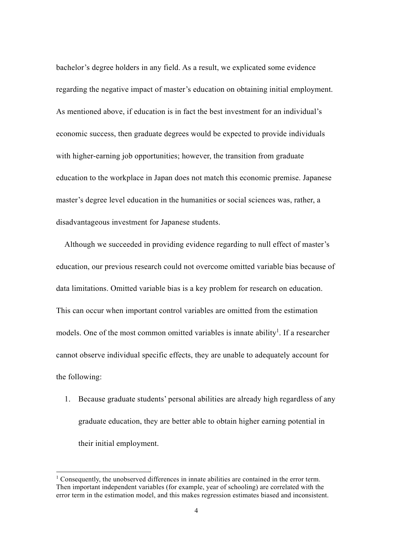bachelor's degree holders in any field. As a result, we explicated some evidence regarding the negative impact of master's education on obtaining initial employment. As mentioned above, if education is in fact the best investment for an individual's economic success, then graduate degrees would be expected to provide individuals with higher-earning job opportunities; however, the transition from graduate education to the workplace in Japan does not match this economic premise. Japanese master's degree level education in the humanities or social sciences was, rather, a disadvantageous investment for Japanese students.

Although we succeeded in providing evidence regarding to null effect of master's education, our previous research could not overcome omitted variable bias because of data limitations. Omitted variable bias is a key problem for research on education. This can occur when important control variables are omitted from the estimation models. One of the most common omitted variables is innate ability<sup>1</sup>. If a researcher cannot observe individual specific effects, they are unable to adequately account for the following:

1. Because graduate students' personal abilities are already high regardless of any graduate education, they are better able to obtain higher earning potential in their initial employment.

<sup>&</sup>lt;sup>1</sup> Consequently, the unobserved differences in innate abilities are contained in the error term. Then important independent variables (for example, year of schooling) are correlated with the error term in the estimation model, and this makes regression estimates biased and inconsistent.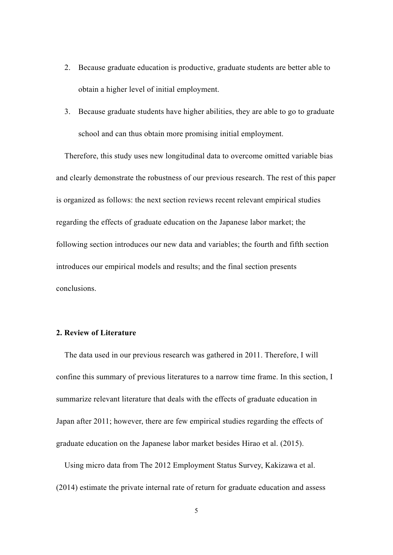- 2. Because graduate education is productive, graduate students are better able to obtain a higher level of initial employment.
- 3. Because graduate students have higher abilities, they are able to go to graduate school and can thus obtain more promising initial employment.

Therefore, this study uses new longitudinal data to overcome omitted variable bias and clearly demonstrate the robustness of our previous research. The rest of this paper is organized as follows: the next section reviews recent relevant empirical studies regarding the effects of graduate education on the Japanese labor market; the following section introduces our new data and variables; the fourth and fifth section introduces our empirical models and results; and the final section presents conclusions.

## **2. Review of Literature**

The data used in our previous research was gathered in 2011. Therefore, I will confine this summary of previous literatures to a narrow time frame. In this section, I summarize relevant literature that deals with the effects of graduate education in Japan after 2011; however, there are few empirical studies regarding the effects of graduate education on the Japanese labor market besides Hirao et al. (2015).

Using micro data from The 2012 Employment Status Survey, Kakizawa et al. (2014) estimate the private internal rate of return for graduate education and assess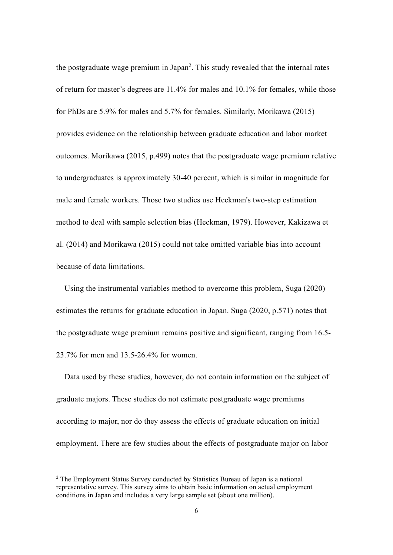the postgraduate wage premium in Japan<sup>2</sup>. This study revealed that the internal rates of return for master's degrees are 11.4% for males and 10.1% for females, while those for PhDs are 5.9% for males and 5.7% for females. Similarly, Morikawa (2015) provides evidence on the relationship between graduate education and labor market outcomes. Morikawa (2015, p.499) notes that the postgraduate wage premium relative to undergraduates is approximately 30-40 percent, which is similar in magnitude for male and female workers. Those two studies use Heckman's two-step estimation method to deal with sample selection bias (Heckman, 1979). However, Kakizawa et al. (2014) and Morikawa (2015) could not take omitted variable bias into account because of data limitations.

Using the instrumental variables method to overcome this problem, Suga (2020) estimates the returns for graduate education in Japan. Suga (2020, p.571) notes that the postgraduate wage premium remains positive and significant, ranging from 16.5- 23.7% for men and 13.5-26.4% for women.

Data used by these studies, however, do not contain information on the subject of graduate majors. These studies do not estimate postgraduate wage premiums according to major, nor do they assess the effects of graduate education on initial employment. There are few studies about the effects of postgraduate major on labor

<sup>&</sup>lt;sup>2</sup> The Employment Status Survey conducted by Statistics Bureau of Japan is a national representative survey. This survey aims to obtain basic information on actual employment conditions in Japan and includes a very large sample set (about one million).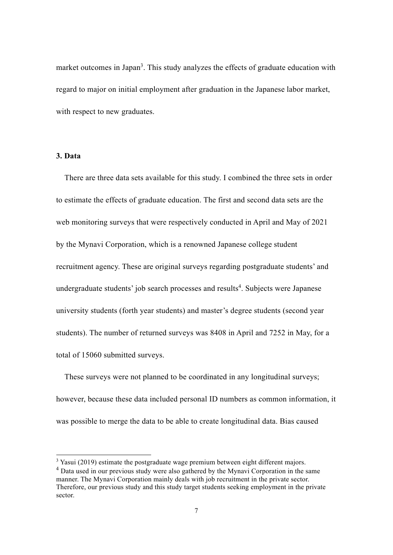market outcomes in Japan<sup>3</sup>. This study analyzes the effects of graduate education with regard to major on initial employment after graduation in the Japanese labor market, with respect to new graduates.

## **3. Data**

There are three data sets available for this study. I combined the three sets in order to estimate the effects of graduate education. The first and second data sets are the web monitoring surveys that were respectively conducted in April and May of 2021 by the Mynavi Corporation, which is a renowned Japanese college student recruitment agency. These are original surveys regarding postgraduate students' and undergraduate students' job search processes and results<sup>4</sup>. Subjects were Japanese university students (forth year students) and master's degree students (second year students). The number of returned surveys was 8408 in April and 7252 in May, for a total of 15060 submitted surveys.

These surveys were not planned to be coordinated in any longitudinal surveys; however, because these data included personal ID numbers as common information, it was possible to merge the data to be able to create longitudinal data. Bias caused

 $3$  Yasui (2019) estimate the postgraduate wage premium between eight different majors.

<sup>&</sup>lt;sup>4</sup> Data used in our previous study were also gathered by the Mynavi Corporation in the same manner. The Mynavi Corporation mainly deals with job recruitment in the private sector. Therefore, our previous study and this study target students seeking employment in the private sector.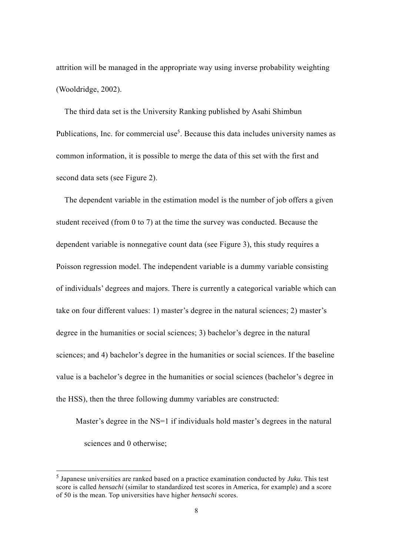attrition will be managed in the appropriate way using inverse probability weighting (Wooldridge, 2002).

The third data set is the University Ranking published by Asahi Shimbun Publications, Inc. for commercial use<sup>5</sup>. Because this data includes university names as common information, it is possible to merge the data of this set with the first and second data sets (see Figure 2).

The dependent variable in the estimation model is the number of job offers a given student received (from 0 to 7) at the time the survey was conducted. Because the dependent variable is nonnegative count data (see Figure 3), this study requires a Poisson regression model. The independent variable is a dummy variable consisting of individuals' degrees and majors. There is currently a categorical variable which can take on four different values: 1) master's degree in the natural sciences; 2) master's degree in the humanities or social sciences; 3) bachelor's degree in the natural sciences; and 4) bachelor's degree in the humanities or social sciences. If the baseline value is a bachelor's degree in the humanities or social sciences (bachelor's degree in the HSS), then the three following dummy variables are constructed:

Master's degree in the NS=1 if individuals hold master's degrees in the natural sciences and 0 otherwise;

<sup>5</sup> Japanese universities are ranked based on a practice examination conducted by *Juku*. This test score is called *hensachi* (similar to standardized test scores in America, for example) and a score of 50 is the mean. Top universities have higher *hensachi* scores.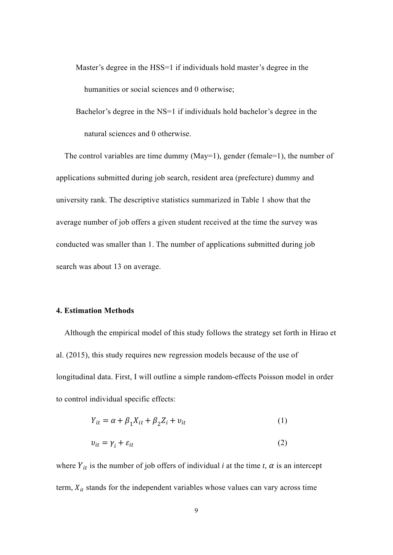Master's degree in the HSS=1 if individuals hold master's degree in the humanities or social sciences and 0 otherwise;

Bachelor's degree in the NS=1 if individuals hold bachelor's degree in the natural sciences and 0 otherwise.

The control variables are time dummy (May=1), gender (female=1), the number of applications submitted during job search, resident area (prefecture) dummy and university rank. The descriptive statistics summarized in Table 1 show that the average number of job offers a given student received at the time the survey was conducted was smaller than 1. The number of applications submitted during job search was about 13 on average.

#### **4. Estimation Methods**

Although the empirical model of this study follows the strategy set forth in Hirao et al. (2015), this study requires new regression models because of the use of longitudinal data. First, I will outline a simple random-effects Poisson model in order to control individual specific effects:

$$
Y_{it} = \alpha + \beta_1 X_{it} + \beta_2 Z_i + v_{it}
$$
\n<sup>(1)</sup>

$$
v_{it} = \gamma_i + \varepsilon_{it} \tag{2}
$$

where  $Y_{it}$  is the number of job offers of individual *i* at the time *t*,  $\alpha$  is an intercept term,  $X_{it}$  stands for the independent variables whose values can vary across time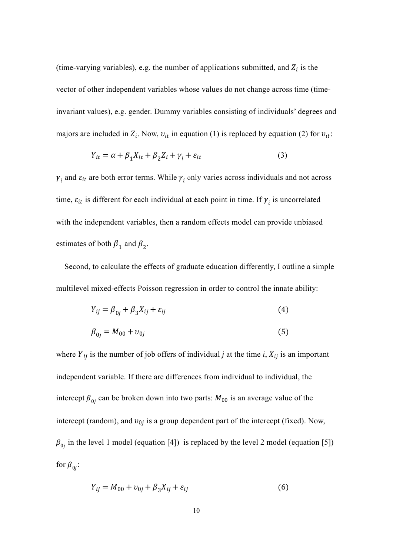(time-varying variables), e.g. the number of applications submitted, and  $Z_i$  is the vector of other independent variables whose values do not change across time (timeinvariant values), e.g. gender. Dummy variables consisting of individuals' degrees and majors are included in  $Z_i$ . Now,  $v_{it}$  in equation (1) is replaced by equation (2) for  $v_{it}$ :

$$
Y_{it} = \alpha + \beta_1 X_{it} + \beta_2 Z_i + \gamma_i + \varepsilon_{it}
$$
\n(3)

 $\gamma_i$  and  $\varepsilon_{it}$  are both error terms. While  $\gamma_i$  only varies across individuals and not across time,  $\varepsilon_{it}$  is different for each individual at each point in time. If  $\gamma_i$  is uncorrelated with the independent variables, then a random effects model can provide unbiased estimates of both  $\beta_1$  and  $\beta_2$ .

Second, to calculate the effects of graduate education differently, I outline a simple multilevel mixed-effects Poisson regression in order to control the innate ability:

$$
Y_{ij} = \beta_{0j} + \beta_3 X_{ij} + \varepsilon_{ij}
$$
 (4)

$$
\beta_{0j} = M_{00} + v_{0j} \tag{5}
$$

where  $Y_{ij}$  is the number of job offers of individual *j* at the time *i*,  $X_{ij}$  is an important independent variable. If there are differences from individual to individual, the intercept  $\beta_{0i}$  can be broken down into two parts:  $M_{00}$  is an average value of the intercept (random), and  $v_{0i}$  is a group dependent part of the intercept (fixed). Now,  $\beta_{0i}$  in the level 1 model (equation [4]) is replaced by the level 2 model (equation [5]) for  $\beta_{0i}$ :

$$
Y_{ij} = M_{00} + v_{0j} + \beta_3 X_{ij} + \varepsilon_{ij}
$$
 (6)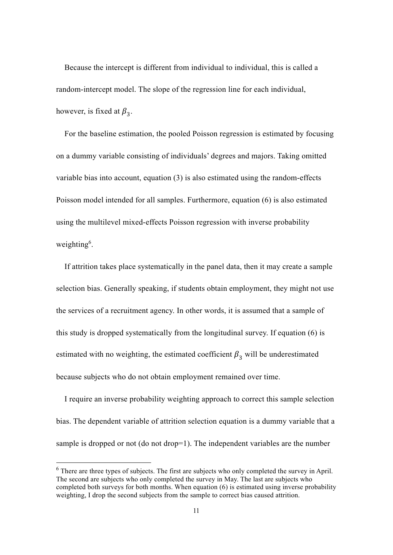Because the intercept is different from individual to individual, this is called a random-intercept model. The slope of the regression line for each individual, however, is fixed at  $\beta_3$ .

For the baseline estimation, the pooled Poisson regression is estimated by focusing on a dummy variable consisting of individuals' degrees and majors. Taking omitted variable bias into account, equation (3) is also estimated using the random-effects Poisson model intended for all samples. Furthermore, equation (6) is also estimated using the multilevel mixed-effects Poisson regression with inverse probability weighting<sup>6</sup>.

If attrition takes place systematically in the panel data, then it may create a sample selection bias. Generally speaking, if students obtain employment, they might not use the services of a recruitment agency. In other words, it is assumed that a sample of this study is dropped systematically from the longitudinal survey. If equation (6) is estimated with no weighting, the estimated coefficient  $\beta_3$  will be underestimated because subjects who do not obtain employment remained over time.

I require an inverse probability weighting approach to correct this sample selection bias. The dependent variable of attrition selection equation is a dummy variable that a sample is dropped or not (do not drop=1). The independent variables are the number

 $<sup>6</sup>$  There are three types of subjects. The first are subjects who only completed the survey in April.</sup> The second are subjects who only completed the survey in May. The last are subjects who completed both surveys for both months. When equation (6) is estimated using inverse probability weighting, I drop the second subjects from the sample to correct bias caused attrition.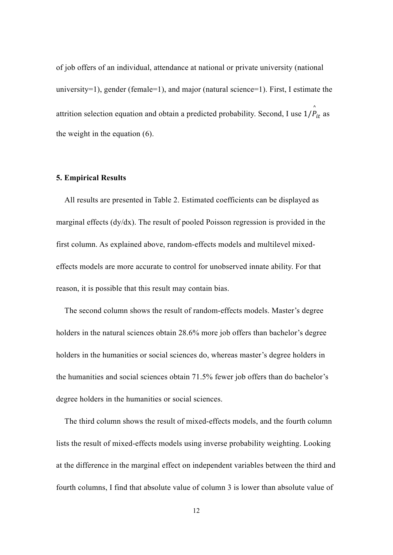of job offers of an individual, attendance at national or private university (national university=1), gender (female=1), and major (natural science=1). First, I estimate the attrition selection equation and obtain a predicted probability. Second, I use  $1/\stackrel{\wedge}{P}_{it}$  as the weight in the equation (6).

#### **5. Empirical Results**

All results are presented in Table 2. Estimated coefficients can be displayed as marginal effects (dy/dx). The result of pooled Poisson regression is provided in the first column. As explained above, random-effects models and multilevel mixedeffects models are more accurate to control for unobserved innate ability. For that reason, it is possible that this result may contain bias.

The second column shows the result of random-effects models. Master's degree holders in the natural sciences obtain 28.6% more job offers than bachelor's degree holders in the humanities or social sciences do, whereas master's degree holders in the humanities and social sciences obtain 71.5% fewer job offers than do bachelor's degree holders in the humanities or social sciences.

The third column shows the result of mixed-effects models, and the fourth column lists the result of mixed-effects models using inverse probability weighting. Looking at the difference in the marginal effect on independent variables between the third and fourth columns, I find that absolute value of column 3 is lower than absolute value of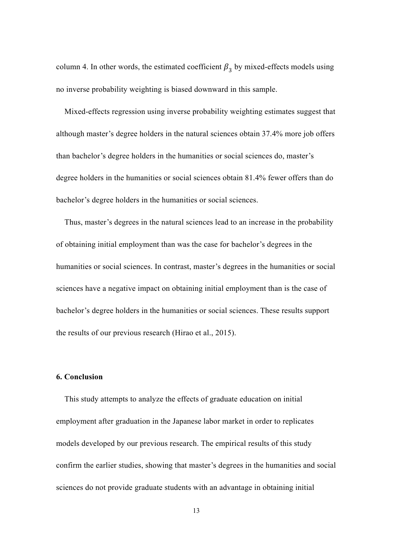column 4. In other words, the estimated coefficient  $\beta_3$  by mixed-effects models using no inverse probability weighting is biased downward in this sample.

Mixed-effects regression using inverse probability weighting estimates suggest that although master's degree holders in the natural sciences obtain 37.4% more job offers than bachelor's degree holders in the humanities or social sciences do, master's degree holders in the humanities or social sciences obtain 81.4% fewer offers than do bachelor's degree holders in the humanities or social sciences.

Thus, master's degrees in the natural sciences lead to an increase in the probability of obtaining initial employment than was the case for bachelor's degrees in the humanities or social sciences. In contrast, master's degrees in the humanities or social sciences have a negative impact on obtaining initial employment than is the case of bachelor's degree holders in the humanities or social sciences. These results support the results of our previous research (Hirao et al., 2015).

#### **6. Conclusion**

This study attempts to analyze the effects of graduate education on initial employment after graduation in the Japanese labor market in order to replicates models developed by our previous research. The empirical results of this study confirm the earlier studies, showing that master's degrees in the humanities and social sciences do not provide graduate students with an advantage in obtaining initial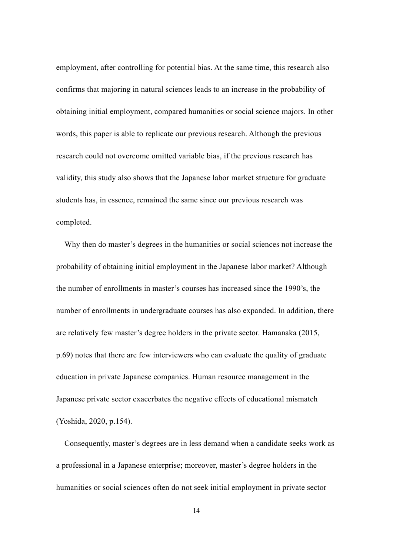employment, after controlling for potential bias. At the same time, this research also confirms that majoring in natural sciences leads to an increase in the probability of obtaining initial employment, compared humanities or social science majors. In other words, this paper is able to replicate our previous research. Although the previous research could not overcome omitted variable bias, if the previous research has validity, this study also shows that the Japanese labor market structure for graduate students has, in essence, remained the same since our previous research was completed.

Why then do master's degrees in the humanities or social sciences not increase the probability of obtaining initial employment in the Japanese labor market? Although the number of enrollments in master's courses has increased since the 1990's, the number of enrollments in undergraduate courses has also expanded. In addition, there are relatively few master's degree holders in the private sector. Hamanaka (2015, p.69) notes that there are few interviewers who can evaluate the quality of graduate education in private Japanese companies. Human resource management in the Japanese private sector exacerbates the negative effects of educational mismatch (Yoshida, 2020, p.154).

Consequently, master's degrees are in less demand when a candidate seeks work as a professional in a Japanese enterprise; moreover, master's degree holders in the humanities or social sciences often do not seek initial employment in private sector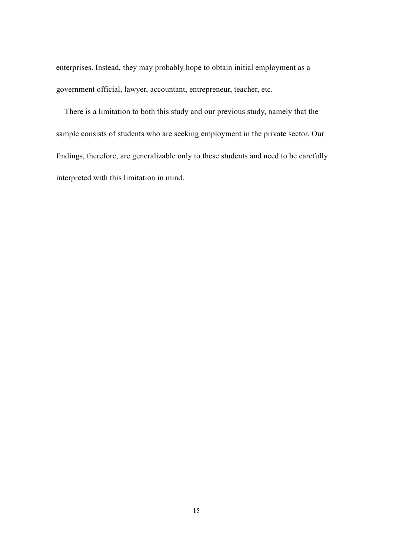enterprises. Instead, they may probably hope to obtain initial employment as a government official, lawyer, accountant, entrepreneur, teacher, etc.

There is a limitation to both this study and our previous study, namely that the sample consists of students who are seeking employment in the private sector. Our findings, therefore, are generalizable only to these students and need to be carefully interpreted with this limitation in mind.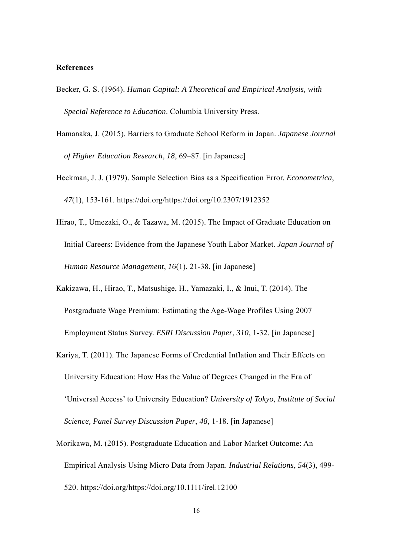#### **References**

- Becker, G. S. (1964). *Human Capital: A Theoretical and Empirical Analysis, with Special Reference to Education*. Columbia University Press.
- Hamanaka, J. (2015). Barriers to Graduate School Reform in Japan. *Japanese Journal of Higher Education Research*, *18*, 69–87. [in Japanese]
- Heckman, J. J. (1979). Sample Selection Bias as a Specification Error. *Econometrica*, *47*(1), 153-161. https://doi.org/https://doi.org/10.2307/1912352
- Hirao, T., Umezaki, O., & Tazawa, M. (2015). The Impact of Graduate Education on Initial Careers: Evidence from the Japanese Youth Labor Market. *Japan Journal of Human Resource Management*, *16*(1), 21-38. [in Japanese]
- Kakizawa, H., Hirao, T., Matsushige, H., Yamazaki, I., & Inui, T. (2014). The Postgraduate Wage Premium: Estimating the Age-Wage Profiles Using 2007 Employment Status Survey. *ESRI Discussion Paper*, *310*, 1-32. [in Japanese]
- Kariya, T. (2011). The Japanese Forms of Credential Inflation and Their Effects on University Education: How Has the Value of Degrees Changed in the Era of 'Universal Access' to University Education? *University of Tokyo, Institute of Social Science, Panel Survey Discussion Paper*, *48*, 1-18. [in Japanese]
- Morikawa, M. (2015). Postgraduate Education and Labor Market Outcome: An Empirical Analysis Using Micro Data from Japan. *Industrial Relations*, *54*(3), 499- 520. https://doi.org/https://doi.org/10.1111/irel.12100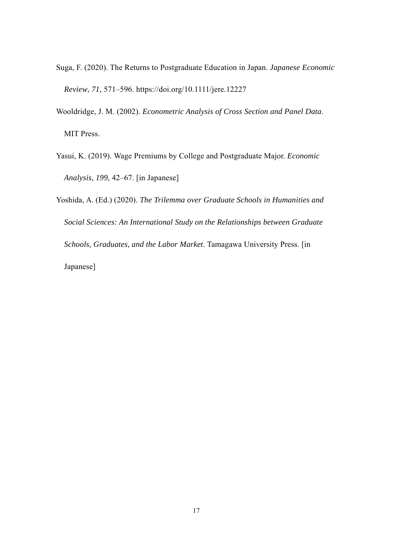- Suga, F. (2020). The Returns to Postgraduate Education in Japan. *Japanese Economic Review*, *71*, 571–596. https://doi.org/10.1111/jere.12227
- Wooldridge, J. M. (2002). *Econometric Analysis of Cross Section and Panel Data*. MIT Press.
- Yasui, K. (2019). Wage Premiums by College and Postgraduate Major. *Economic Analysis*, *199*, 42–67. [in Japanese]
- Yoshida, A. (Ed.) (2020). *The Trilemma over Graduate Schools in Humanities and Social Sciences: An International Study on the Relationships between Graduate Schools, Graduates, and the Labor Market*. Tamagawa University Press. [in Japanese]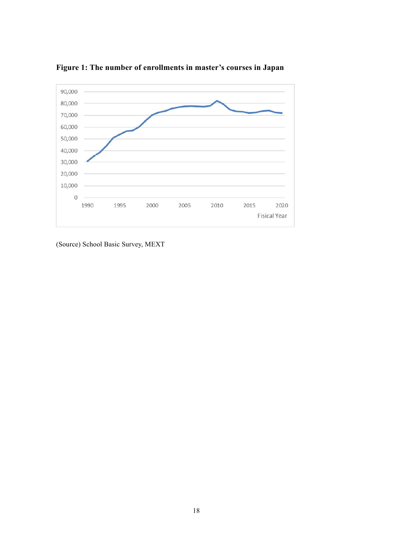

**Figure 1: The number of enrollments in master's courses in Japan** 

(Source) School Basic Survey, MEXT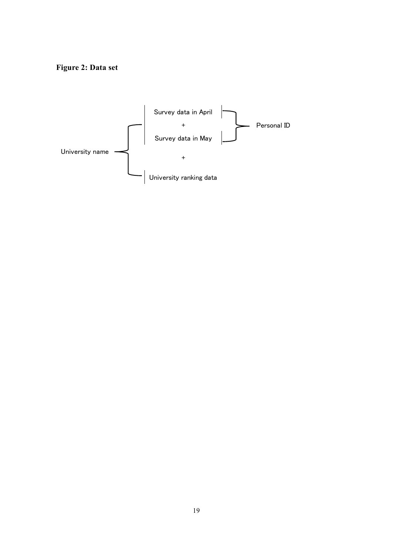# **Figure 2: Data set**

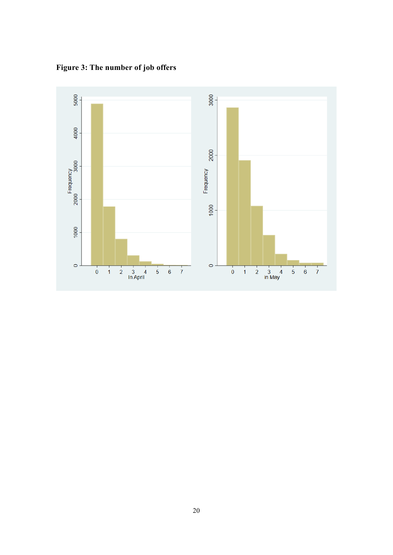**Figure 3: The number of job offers** 

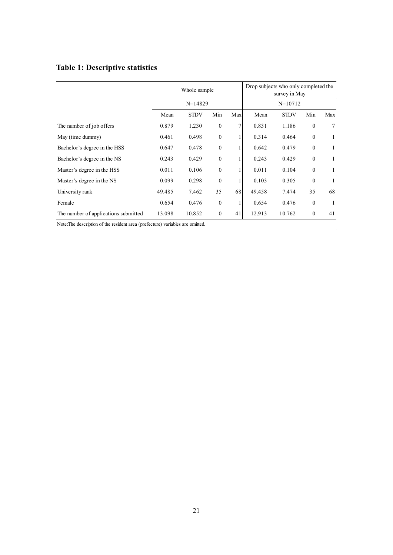# **Table 1: Descriptive statistics**

|                                      | Whole sample |             |              |     | Drop subjects who only completed the<br>survey in May<br>$N=10712$ |             |              |     |
|--------------------------------------|--------------|-------------|--------------|-----|--------------------------------------------------------------------|-------------|--------------|-----|
|                                      | $N=14829$    |             |              |     |                                                                    |             |              |     |
|                                      | Mean         | <b>STDV</b> | Min          | Max | Mean                                                               | <b>STDV</b> | Min          | Max |
| The number of job offers             | 0.879        | 1.230       | $\mathbf{0}$ | 7   | 0.831                                                              | 1.186       | $\theta$     | 7   |
| May (time dummy)                     | 0.461        | 0.498       | $\mathbf{0}$ |     | 0.314                                                              | 0.464       | $\mathbf{0}$ |     |
| Bachelor's degree in the HSS         | 0.647        | 0.478       | $\mathbf{0}$ |     | 0.642                                                              | 0.479       | $\theta$     | 1   |
| Bachelor's degree in the NS          | 0.243        | 0.429       | $\mathbf{0}$ |     | 0.243                                                              | 0.429       | $\mathbf{0}$ | 1   |
| Master's degree in the HSS           | 0.011        | 0.106       | $\theta$     |     | 0.011                                                              | 0.104       | $\theta$     | 1   |
| Master's degree in the NS            | 0.099        | 0.298       | $\theta$     |     | 0.103                                                              | 0.305       | $\mathbf{0}$ |     |
| University rank                      | 49.485       | 7.462       | 35           | 68  | 49.458                                                             | 7.474       | 35           | 68  |
| Female                               | 0.654        | 0.476       | $\mathbf{0}$ |     | 0.654                                                              | 0.476       | $\mathbf{0}$ |     |
| The number of applications submitted | 13.098       | 10.852      | $\theta$     | 41  | 12.913                                                             | 10.762      | $\theta$     | 41  |

Note:The description of the resident area (prefecture) variables are omitted.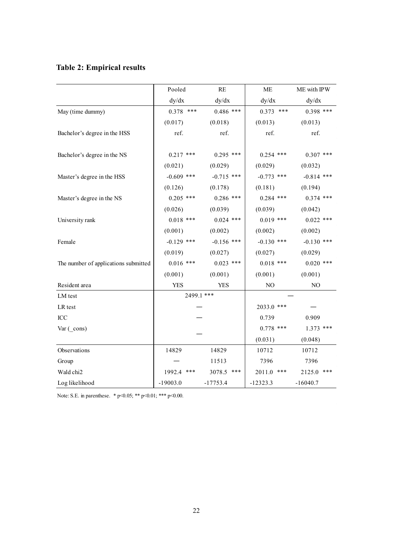# **Table 2: Empirical results**

|                                      | Pooled        | $\mathbf{RE}$ | ME             | ME with IPW    |  |  |
|--------------------------------------|---------------|---------------|----------------|----------------|--|--|
|                                      | dy/dx         | dy/dx         | dy/dx          | dy/dx          |  |  |
| May (time dummy)                     | $0.378$ ***   | $0.486$ ***   | $0.373$ ***    | $0.398$ ***    |  |  |
|                                      | (0.017)       | (0.018)       | (0.013)        | (0.013)        |  |  |
| Bachelor's degree in the HSS         | ref.          | ref.          | ref.           | ref.           |  |  |
|                                      |               |               |                |                |  |  |
| Bachelor's degree in the NS          | $0.217$ ***   | $0.295$ ***   | $0.254$ ***    | $0.307$ ***    |  |  |
|                                      | (0.021)       | (0.029)       | (0.029)        | (0.032)        |  |  |
| Master's degree in the HSS           | $-0.609$ ***  | $-0.715$ ***  | $-0.773$ ***   | $-0.814$ ***   |  |  |
|                                      | (0.126)       | (0.178)       | (0.181)        | (0.194)        |  |  |
| Master's degree in the NS            | $0.205$ ***   | $0.286$ ***   | $0.284$ ***    | $0.374$ ***    |  |  |
|                                      | (0.026)       | (0.039)       | (0.039)        | (0.042)        |  |  |
| University rank                      | $0.018$ ***   | $0.024$ ***   | $0.019$ ***    | $0.022$ ***    |  |  |
|                                      | (0.001)       | (0.002)       | (0.002)        | (0.002)        |  |  |
| Female                               | $-0.129$ ***  | $-0.156$ ***  | $-0.130$ ***   | $-0.130$ ***   |  |  |
|                                      | (0.019)       | (0.027)       | (0.027)        | (0.029)        |  |  |
| The number of applications submitted | $0.016$ ***   | $0.023$ ***   | $0.018$ ***    | $0.020$ ***    |  |  |
|                                      | (0.001)       | (0.001)       | (0.001)        | (0.001)        |  |  |
| Resident area                        | <b>YES</b>    | <b>YES</b>    | N <sub>O</sub> | N <sub>O</sub> |  |  |
| LM test                              |               | 2499.1 ***    |                |                |  |  |
| LR test                              |               |               | 2033.0 ***     |                |  |  |
| ICC                                  |               |               | 0.739          | 0.909          |  |  |
| Var (_cons)                          |               |               | $0.778$ ***    | $1.373$ ***    |  |  |
|                                      |               |               | (0.031)        | (0.048)        |  |  |
| Observations                         | 14829         | 14829         | 10712          | 10712          |  |  |
| Group                                |               | 11513         | 7396           | 7396           |  |  |
| Wald chi2                            | 1992.4<br>*** | 3078.5<br>*** | ***<br>2011.0  | ***<br>2125.0  |  |  |
| Log likelihood                       | $-19003.0$    | $-17753.4$    | $-12323.3$     | $-16040.7$     |  |  |

Note: S.E. in parenthese. \* p<0.05; \*\* p<0.01; \*\*\* p<0.00.